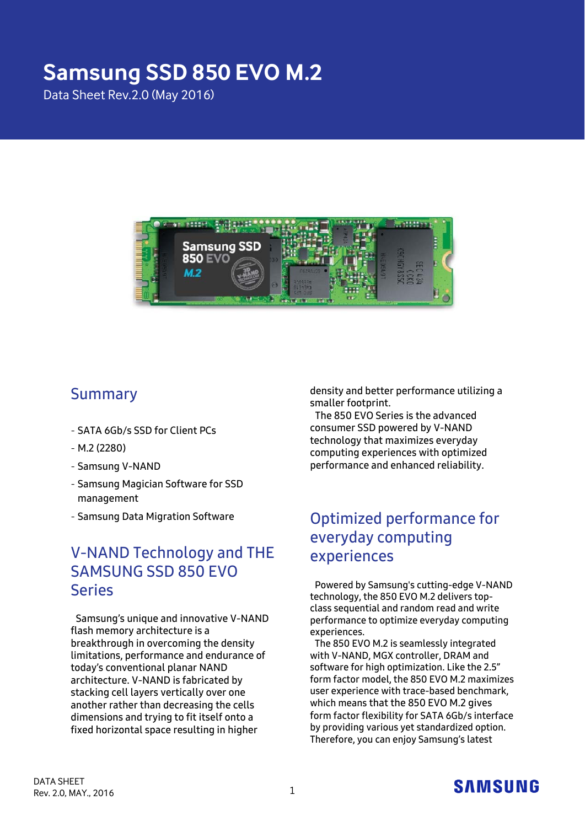# **Samsung SSD 850 EVO M.2**

Data Sheet Rev.2.0 (May 2016)



# Summary

- SATA 6Gb/s SSD for Client PCs
- M.2 (2280)
- Samsung V-NAND
- Samsung Magician Software for SSD management
- Samsung Data Migration Software

## V-NAND Technology and THE SAMSUNG SSD 850 EVO Series

Samsung's unique and innovative V-NAND flash memory architecture is a breakthrough in overcoming the density limitations, performance and endurance of today's conventional planar NAND architecture. V-NAND is fabricated by stacking cell layers vertically over one another rather than decreasing the cells dimensions and trying to fit itself onto a fixed horizontal space resulting in higher

density and better performance utilizing a smaller footprint.

The 850 EVO Series is the advanced consumer SSD powered by V-NAND technology that maximizes everyday computing experiences with optimized performance and enhanced reliability.

# Optimized performance for everyday computing experiences

Powered by Samsung's cutting-edge V-NAND technology, the 850 EVO M.2 delivers topclass sequential and random read and write performance to optimize everyday computing experiences.

The 850 EVO M.2 is seamlessly integrated with V-NAND, MGX controller, DRAM and software for high optimization. Like the 2.5" form factor model, the 850 EVO M.2 maximizes user experience with trace-based benchmark, which means that the 850 EVO M.2 gives form factor flexibility for SATA 6Gb/s interface by providing various yet standardized option. Therefore, you can enjoy Samsung's latest

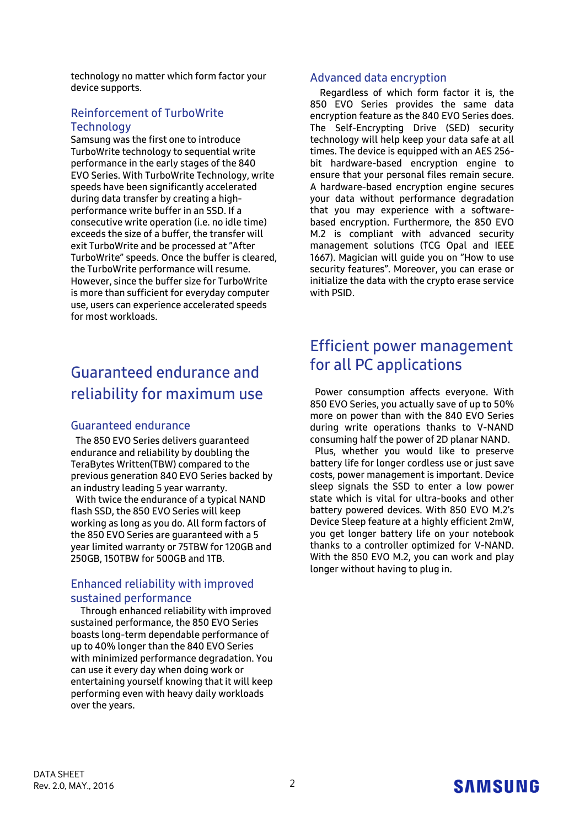technology no matter which form factor your device supports.

#### Reinforcement of TurboWrite **Technology**

Samsung was the first one to introduce TurboWrite technology to sequential write performance in the early stages of the 840 EVO Series. With TurboWrite Technology, write speeds have been significantly accelerated during data transfer by creating a highperformance write buffer in an SSD. If a consecutive write operation (i.e. no idle time) exceeds the size of a buffer, the transfer will exit TurboWrite and be processed at "After TurboWrite" speeds. Once the buffer is cleared, the TurboWrite performance will resume. However, since the buffer size for TurboWrite is more than sufficient for everyday computer use, users can experience accelerated speeds for most workloads.

# Guaranteed endurance and reliability for maximum use

#### Guaranteed endurance

The 850 EVO Series delivers guaranteed endurance and reliability by doubling the TeraBytes Written(TBW) compared to the previous generation 840 EVO Series backed by an industry leading 5 year warranty.

With twice the endurance of a typical NAND flash SSD, the 850 EVO Series will keep working as long as you do. All form factors of the 850 EVO Series are guaranteed with a 5 year limited warranty or 75TBW for 120GB and 250GB, 150TBW for 500GB and 1TB.

#### Enhanced reliability with improved sustained performance

Through enhanced reliability with improved sustained performance, the 850 EVO Series boasts long-term dependable performance of up to 40% longer than the 840 EVO Series with minimized performance degradation. You can use it every day when doing work or entertaining yourself knowing that it will keep performing even with heavy daily workloads over the years.

#### Advanced data encryption

Regardless of which form factor it is, the 850 EVO Series provides the same data encryption feature as the 840 EVO Series does. The Self-Encrypting Drive (SED) security technology will help keep your data safe at all times. The device is equipped with an AES 256 bit hardware-based encryption engine to ensure that your personal files remain secure. A hardware-based encryption engine secures your data without performance degradation that you may experience with a softwarebased encryption. Furthermore, the 850 EVO M.2 is compliant with advanced security management solutions (TCG Opal and IEEE 1667). Magician will guide you on "How to use security features". Moreover, you can erase or initialize the data with the crypto erase service with PSID.

## Efficient power management for all PC applications

Power consumption affects everyone. With 850 EVO Series, you actually save of up to 50% more on power than with the 840 EVO Series during write operations thanks to V-NAND consuming half the power of 2D planar NAND.

Plus, whether you would like to preserve battery life for longer cordless use or just save costs, power management is important. Device sleep signals the SSD to enter a low power state which is vital for ultra-books and other battery powered devices. With 850 EVO M.2's Device Sleep feature at a highly efficient 2mW, you get longer battery life on your notebook thanks to a controller optimized for V-NAND. With the 850 EVO M.2, you can work and play longer without having to plug in.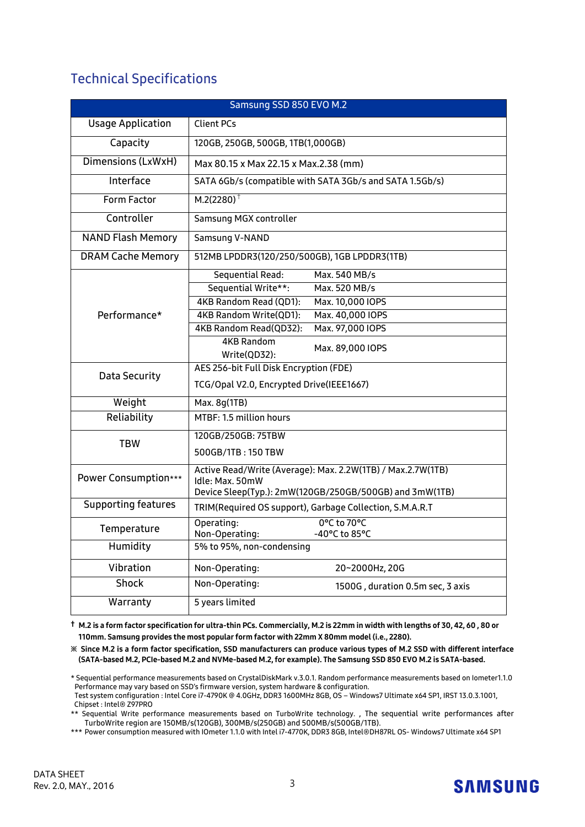### Technical Specifications

| Samsung SSD 850 EVO M.2    |                                                                                                                                           |  |  |  |
|----------------------------|-------------------------------------------------------------------------------------------------------------------------------------------|--|--|--|
| <b>Usage Application</b>   | <b>Client PCs</b>                                                                                                                         |  |  |  |
| Capacity                   | 120GB, 250GB, 500GB, 1TB(1,000GB)                                                                                                         |  |  |  |
| Dimensions (LxWxH)         | Max 80.15 x Max 22.15 x Max.2.38 (mm)                                                                                                     |  |  |  |
| Interface                  | SATA 6Gb/s (compatible with SATA 3Gb/s and SATA 1.5Gb/s)                                                                                  |  |  |  |
| Form Factor                | $M.2(2280)^+$                                                                                                                             |  |  |  |
| Controller                 | Samsung MGX controller                                                                                                                    |  |  |  |
| <b>NAND Flash Memory</b>   | Samsung V-NAND                                                                                                                            |  |  |  |
| <b>DRAM Cache Memory</b>   | 512MB LPDDR3(120/250/500GB), 1GB LPDDR3(1TB)                                                                                              |  |  |  |
|                            | Sequential Read:<br>Max. 540 MB/s                                                                                                         |  |  |  |
|                            | Sequential Write**:<br>Max. 520 MB/s                                                                                                      |  |  |  |
|                            | 4KB Random Read (QD1):<br>Max. 10,000 IOPS                                                                                                |  |  |  |
| Performance*               | 4KB Random Write(QD1):<br>Max. 40,000 IOPS                                                                                                |  |  |  |
|                            | Max. 97,000 IOPS<br>4KB Random Read(QD32):                                                                                                |  |  |  |
|                            | <b>4KB Random</b><br>Max. 89,000 IOPS<br>Write(QD32):                                                                                     |  |  |  |
| Data Security              | AES 256-bit Full Disk Encryption (FDE)                                                                                                    |  |  |  |
|                            | TCG/Opal V2.0, Encrypted Drive(IEEE1667)                                                                                                  |  |  |  |
| Weight                     | Max. 8g(1TB)                                                                                                                              |  |  |  |
| Reliability                | MTBF: 1.5 million hours                                                                                                                   |  |  |  |
| <b>TBW</b>                 | 120GB/250GB: 75TBW                                                                                                                        |  |  |  |
|                            | 500GB/1TB: 150 TBW                                                                                                                        |  |  |  |
| Power Consumption***       | Active Read/Write (Average): Max. 2.2W(1TB) / Max.2.7W(1TB)<br>Idle: Max. 50mW<br>Device Sleep(Typ.): 2mW(120GB/250GB/500GB) and 3mW(1TB) |  |  |  |
| <b>Supporting features</b> | TRIM(Required OS support), Garbage Collection, S.M.A.R.T                                                                                  |  |  |  |
| Temperature                | 0°C to 70°C<br>Operating:<br>Non-Operating:<br>-40°C to 85°C                                                                              |  |  |  |
| Humidity                   | 5% to 95%, non-condensing                                                                                                                 |  |  |  |
| Vibration                  | Non-Operating:<br>20~2000Hz, 20G                                                                                                          |  |  |  |
| <b>Shock</b>               | Non-Operating:<br>1500G, duration 0.5m sec, 3 axis                                                                                        |  |  |  |
| Warranty                   | 5 years limited                                                                                                                           |  |  |  |

**†** M.2 is a form factor specification for ultra-thin PCs. Commercially, M.2 is 22mm in width with lengths of 30, 42, 60 , 80 or 110mm. Samsung provides the most popular form factor with 22mm X 80mm model (i.e., 2280).

**※** Since M.2 is a form factor specification, SSD manufacturers can produce various types of M.2 SSD with different interface (SATA-based M.2, PCIe-based M.2 and NVMe-based M.2, for example). The Samsung SSD 850 EVO M.2 is SATA-based.

\*\* Sequential Write performance measurements based on TurboWrite technology. , The sequential write performances after TurboWrite region are 150MB/s(120GB), 300MB/s(250GB) and 500MB/s(500GB/1TB).

\*\*\* Power consumption measured with IOmeter 1.1.0 with Intel i7-4770K, DDR3 8GB, Intel®DH87RL OS- Windows7 Ultimate x64 SP1



<sup>\*</sup> Sequential performance measurements based on CrystalDiskMark v.3.0.1. Random performance measurements based on Iometer1.1.0 Performance may vary based on SSD's firmware version, system hardware & configuration. Test system configuration : Intel Core i7-4790K @ 4.0GHz, DDR3 1600MHz 8GB, OS – Windows7 Ultimate x64 SP1, IRST 13.0.3.1001, Chipset : Intel® Z97PRO